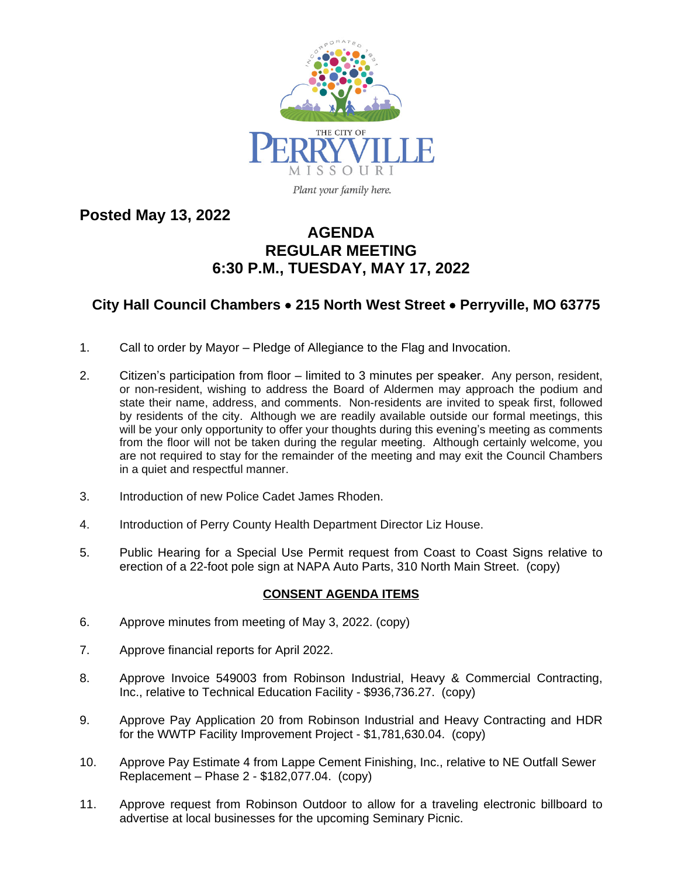

Plant your family here.

**Posted May 13, 2022**

## **AGENDA REGULAR MEETING 6:30 P.M., TUESDAY, MAY 17, 2022**

## **City Hall Council Chambers** · **215 North West Street** · **Perryville, MO 63775**

- 1. Call to order by Mayor Pledge of Allegiance to the Flag and Invocation.
- 2. Citizen's participation from floor limited to 3 minutes per speaker. Any person, resident, or non-resident, wishing to address the Board of Aldermen may approach the podium and state their name, address, and comments. Non-residents are invited to speak first, followed by residents of the city. Although we are readily available outside our formal meetings, this will be your only opportunity to offer your thoughts during this evening's meeting as comments from the floor will not be taken during the regular meeting. Although certainly welcome, you are not required to stay for the remainder of the meeting and may exit the Council Chambers in a quiet and respectful manner.
- 3. Introduction of new Police Cadet James Rhoden.
- 4. Introduction of Perry County Health Department Director Liz House.
- 5. Public Hearing for a Special Use Permit request from Coast to Coast Signs relative to erection of a 22-foot pole sign at NAPA Auto Parts, 310 North Main Street. (copy)

## **CONSENT AGENDA ITEMS**

- 6. Approve minutes from meeting of May 3, 2022. (copy)
- 7. Approve financial reports for April 2022.
- 8. Approve Invoice 549003 from Robinson Industrial, Heavy & Commercial Contracting, Inc., relative to Technical Education Facility - \$936,736.27. (copy)
- 9. Approve Pay Application 20 from Robinson Industrial and Heavy Contracting and HDR for the WWTP Facility Improvement Project - \$1,781,630.04. (copy)
- 10. Approve Pay Estimate 4 from Lappe Cement Finishing, Inc., relative to NE Outfall Sewer Replacement – Phase 2 - \$182,077.04. (copy)
- 11. Approve request from Robinson Outdoor to allow for a traveling electronic billboard to advertise at local businesses for the upcoming Seminary Picnic.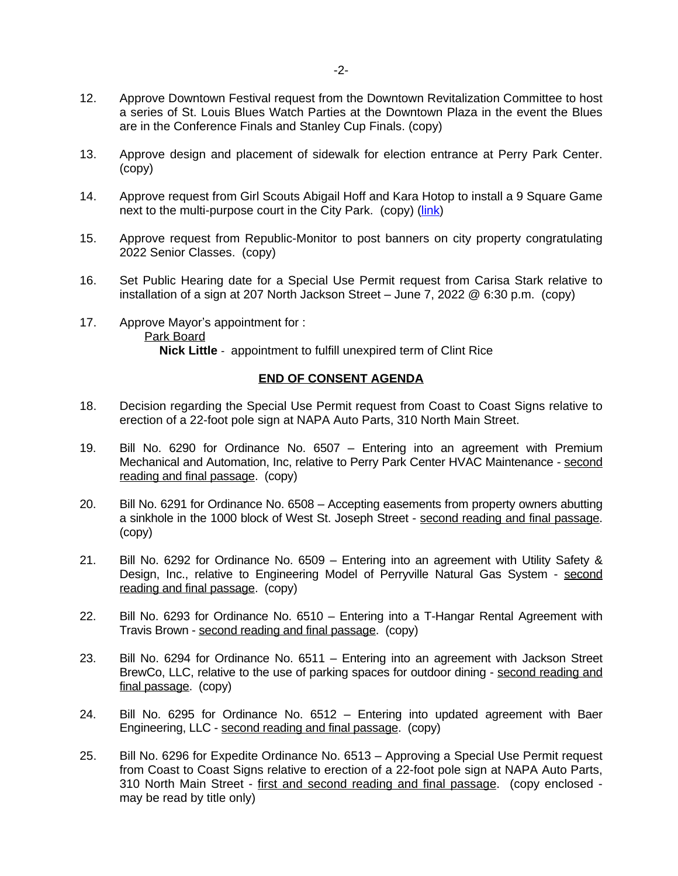- 12. Approve Downtown Festival request from the Downtown Revitalization Committee to host a series of St. Louis Blues Watch Parties at the Downtown Plaza in the event the Blues are in the Conference Finals and Stanley Cup Finals. (copy)
- 13. Approve design and placement of sidewalk for election entrance at Perry Park Center. (copy)
- 14. Approve request from Girl Scouts Abigail Hoff and Kara Hotop to install a 9 Square Game next to the multi-purpose court in the City Park. (copy) ([link](https://www.bing.com/videos/search?q=9+square+in+the+air+how+to+play&&view=detail&mid=0A1E2ED5A4EAA0BAC8960A1E2ED5A4EAA0BAC896&&FORM=VRDGAR&ru=%2Fvideos%2Fsearch%3Fq%3D9%2520square%2520in%2520the%2520air%2520how%2520to%2520play%26qs%3Dn%26form%3DQBVR%26%3D%2525eManage%2520Your%2520Search%2520History%2525E%26sp%3D-1%26pq%3D9%2520square%2520in%2520the%2520air%2520how%2520to%2520play%26sc%3D1-31%26sk%3D%26cvid%3DCF92455C7DC349DD98F1AB9603B18837))
- 15. Approve request from Republic-Monitor to post banners on city property congratulating 2022 Senior Classes. (copy)
- 16. Set Public Hearing date for a Special Use Permit request from Carisa Stark relative to installation of a sign at 207 North Jackson Street – June 7, 2022 @ 6:30 p.m. (copy)
- 17. Approve Mayor's appointment for : Park Board **Nick Little** - appointment to fulfill unexpired term of Clint Rice

## **END OF CONSENT AGENDA**

- 18. Decision regarding the Special Use Permit request from Coast to Coast Signs relative to erection of a 22-foot pole sign at NAPA Auto Parts, 310 North Main Street.
- 19. Bill No. 6290 for Ordinance No. 6507 Entering into an agreement with Premium Mechanical and Automation, Inc, relative to Perry Park Center HVAC Maintenance - second reading and final passage. (copy)
- 20. Bill No. 6291 for Ordinance No. 6508 Accepting easements from property owners abutting a sinkhole in the 1000 block of West St. Joseph Street - second reading and final passage. (copy)
- 21. Bill No. 6292 for Ordinance No. 6509 Entering into an agreement with Utility Safety & Design, Inc., relative to Engineering Model of Perryville Natural Gas System - second reading and final passage. (copy)
- 22. Bill No. 6293 for Ordinance No. 6510 Entering into a T-Hangar Rental Agreement with Travis Brown - second reading and final passage. (copy)
- 23. Bill No. 6294 for Ordinance No. 6511 Entering into an agreement with Jackson Street BrewCo, LLC, relative to the use of parking spaces for outdoor dining - second reading and final passage. (copy)
- 24. Bill No. 6295 for Ordinance No. 6512 Entering into updated agreement with Baer Engineering, LLC - second reading and final passage. (copy)
- 25. Bill No. 6296 for Expedite Ordinance No. 6513 Approving a Special Use Permit request from Coast to Coast Signs relative to erection of a 22-foot pole sign at NAPA Auto Parts, 310 North Main Street - first and second reading and final passage. (copy enclosed may be read by title only)